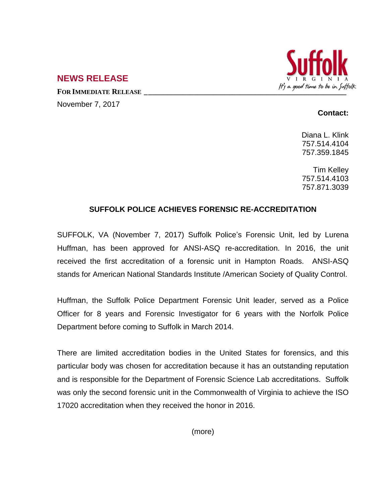

## **NEWS RELEASE**

November 7, 2017

## **Contact:**

Diana L. Klink 757.514.4104 757.359.1845

Tim Kelley 757.514.4103 757.871.3039

## **SUFFOLK POLICE ACHIEVES FORENSIC RE-ACCREDITATION**

SUFFOLK, VA (November 7, 2017) Suffolk Police's Forensic Unit, led by Lurena Huffman, has been approved for ANSI-ASQ re-accreditation. In 2016, the unit received the first accreditation of a forensic unit in Hampton Roads. ANSI-ASQ stands for American National Standards Institute /American Society of Quality Control.

Huffman, the Suffolk Police Department Forensic Unit leader, served as a Police Officer for 8 years and Forensic Investigator for 6 years with the Norfolk Police Department before coming to Suffolk in March 2014.

There are limited accreditation bodies in the United States for forensics, and this particular body was chosen for accreditation because it has an outstanding reputation and is responsible for the Department of Forensic Science Lab accreditations. Suffolk was only the second forensic unit in the Commonwealth of Virginia to achieve the ISO 17020 accreditation when they received the honor in 2016.

(more)